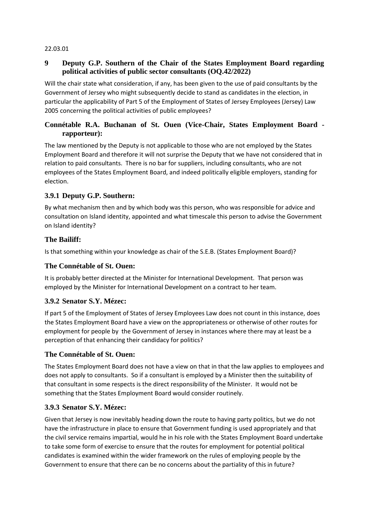#### 22.03.01

### **9 Deputy G.P. Southern of the Chair of the States Employment Board regarding political activities of public sector consultants (OQ.42/2022)**

Will the chair state what consideration, if any, has been given to the use of paid consultants by the Government of Jersey who might subsequently decide to stand as candidates in the election, in particular the applicability of Part 5 of the Employment of States of Jersey Employees (Jersey) Law 2005 concerning the political activities of public employees?

### **Connétable R.A. Buchanan of St. Ouen (Vice-Chair, States Employment Board rapporteur):**

The law mentioned by the Deputy is not applicable to those who are not employed by the States Employment Board and therefore it will not surprise the Deputy that we have not considered that in relation to paid consultants. There is no bar for suppliers, including consultants, who are not employees of the States Employment Board, and indeed politically eligible employers, standing for election.

#### **3.9.1 Deputy G.P. Southern:**

By what mechanism then and by which body was this person, who was responsible for advice and consultation on Island identity, appointed and what timescale this person to advise the Government on Island identity?

# **The Bailiff:**

Is that something within your knowledge as chair of the S.E.B. (States Employment Board)?

#### **The Connétable of St. Ouen:**

It is probably better directed at the Minister for International Development. That person was employed by the Minister for International Development on a contract to her team.

#### **3.9.2 Senator S.Y. Mézec:**

If part 5 of the Employment of States of Jersey Employees Law does not count in this instance, does the States Employment Board have a view on the appropriateness or otherwise of other routes for employment for people by the Government of Jersey in instances where there may at least be a perception of that enhancing their candidacy for politics?

#### **The Connétable of St. Ouen:**

The States Employment Board does not have a view on that in that the law applies to employees and does not apply to consultants. So if a consultant is employed by a Minister then the suitability of that consultant in some respects is the direct responsibility of the Minister. It would not be something that the States Employment Board would consider routinely.

#### **3.9.3 Senator S.Y. Mézec:**

Given that Jersey is now inevitably heading down the route to having party politics, but we do not have the infrastructure in place to ensure that Government funding is used appropriately and that the civil service remains impartial, would he in his role with the States Employment Board undertake to take some form of exercise to ensure that the routes for employment for potential political candidates is examined within the wider framework on the rules of employing people by the Government to ensure that there can be no concerns about the partiality of this in future?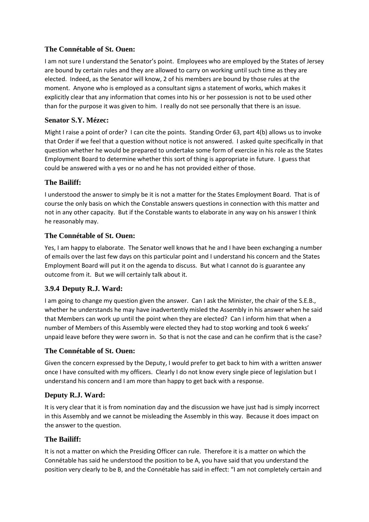# **The Connétable of St. Ouen:**

I am not sure I understand the Senator's point. Employees who are employed by the States of Jersey are bound by certain rules and they are allowed to carry on working until such time as they are elected. Indeed, as the Senator will know, 2 of his members are bound by those rules at the moment. Anyone who is employed as a consultant signs a statement of works, which makes it explicitly clear that any information that comes into his or her possession is not to be used other than for the purpose it was given to him. I really do not see personally that there is an issue.

# **Senator S.Y. Mézec:**

Might I raise a point of order? I can cite the points. Standing Order 63, part 4(b) allows us to invoke that Order if we feel that a question without notice is not answered. I asked quite specifically in that question whether he would be prepared to undertake some form of exercise in his role as the States Employment Board to determine whether this sort of thing is appropriate in future. I guess that could be answered with a yes or no and he has not provided either of those.

#### **The Bailiff:**

I understood the answer to simply be it is not a matter for the States Employment Board. That is of course the only basis on which the Constable answers questions in connection with this matter and not in any other capacity. But if the Constable wants to elaborate in any way on his answer I think he reasonably may.

#### **The Connétable of St. Ouen:**

Yes, I am happy to elaborate. The Senator well knows that he and I have been exchanging a number of emails over the last few days on this particular point and I understand his concern and the States Employment Board will put it on the agenda to discuss. But what I cannot do is guarantee any outcome from it. But we will certainly talk about it.

# **3.9.4 Deputy R.J. Ward:**

I am going to change my question given the answer. Can I ask the Minister, the chair of the S.E.B., whether he understands he may have inadvertently misled the Assembly in his answer when he said that Members can work up until the point when they are elected? Can I inform him that when a number of Members of this Assembly were elected they had to stop working and took 6 weeks' unpaid leave before they were sworn in. So that is not the case and can he confirm that is the case?

#### **The Connétable of St. Ouen:**

Given the concern expressed by the Deputy, I would prefer to get back to him with a written answer once I have consulted with my officers. Clearly I do not know every single piece of legislation but I understand his concern and I am more than happy to get back with a response.

# **Deputy R.J. Ward:**

It is very clear that it is from nomination day and the discussion we have just had is simply incorrect in this Assembly and we cannot be misleading the Assembly in this way. Because it does impact on the answer to the question.

#### **The Bailiff:**

It is not a matter on which the Presiding Officer can rule. Therefore it is a matter on which the Connétable has said he understood the position to be A, you have said that you understand the position very clearly to be B, and the Connétable has said in effect: "I am not completely certain and